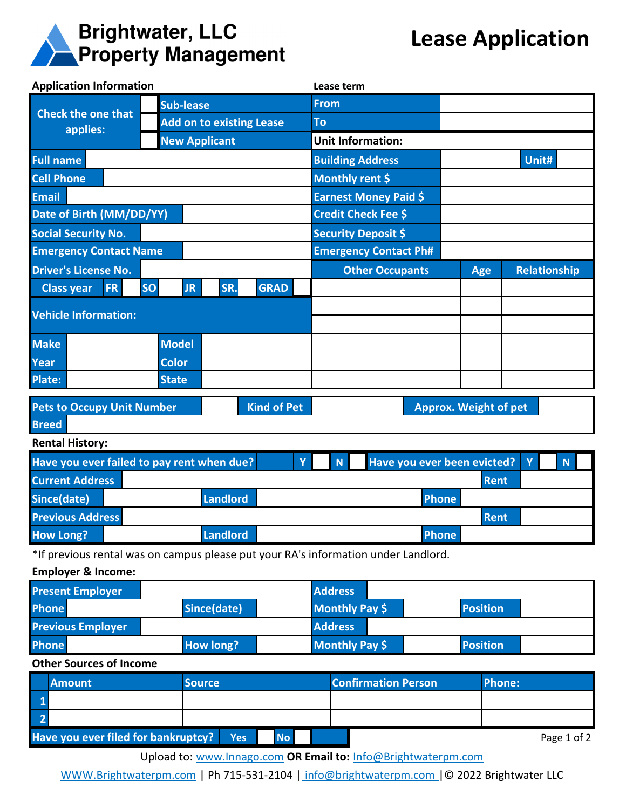

| <b>Application Information</b>                              |                        |                                 | Lease term                                                                         |                             |                     |  |  |  |  |  |
|-------------------------------------------------------------|------------------------|---------------------------------|------------------------------------------------------------------------------------|-----------------------------|---------------------|--|--|--|--|--|
| <b>Check the one that</b>                                   | <b>Sub-lease</b>       |                                 | <b>From</b>                                                                        |                             |                     |  |  |  |  |  |
| applies:                                                    |                        | <b>Add on to existing Lease</b> |                                                                                    | To                          |                     |  |  |  |  |  |
|                                                             | <b>New Applicant</b>   |                                 | <b>Unit Information:</b>                                                           |                             |                     |  |  |  |  |  |
| <b>Full name</b>                                            |                        |                                 | <b>Building Address</b>                                                            | Unit#                       |                     |  |  |  |  |  |
| <b>Cell Phone</b>                                           |                        |                                 | Monthly rent \$                                                                    |                             |                     |  |  |  |  |  |
| <b>Email</b>                                                |                        |                                 | <b>Earnest Money Paid \$</b>                                                       |                             |                     |  |  |  |  |  |
| Date of Birth (MM/DD/YY)                                    |                        |                                 | Credit Check Fee \$                                                                |                             |                     |  |  |  |  |  |
| <b>Social Security No.</b><br><b>Emergency Contact Name</b> |                        |                                 | <b>Security Deposit \$</b>                                                         |                             |                     |  |  |  |  |  |
|                                                             |                        |                                 | <b>Emergency Contact Ph#</b>                                                       |                             |                     |  |  |  |  |  |
| <b>Driver's License No.</b>                                 |                        |                                 | <b>Other Occupants</b>                                                             | <b>Age</b>                  | <b>Relationship</b> |  |  |  |  |  |
| FR.<br><b>Class year</b>                                    | <b>SO</b><br><b>JR</b> | <b>GRAD</b><br>SR.              |                                                                                    |                             |                     |  |  |  |  |  |
| <b>Vehicle Information:</b>                                 |                        |                                 |                                                                                    |                             |                     |  |  |  |  |  |
|                                                             |                        |                                 |                                                                                    |                             |                     |  |  |  |  |  |
| <b>Make</b>                                                 | <b>Model</b>           |                                 |                                                                                    |                             |                     |  |  |  |  |  |
| Year                                                        | <b>Color</b>           |                                 |                                                                                    |                             |                     |  |  |  |  |  |
| <b>Plate:</b>                                               | <b>State</b>           |                                 |                                                                                    |                             |                     |  |  |  |  |  |
| <b>Kind of Pet</b><br><b>Pets to Occupy Unit Number</b>     |                        |                                 | <b>Approx. Weight of pet</b>                                                       |                             |                     |  |  |  |  |  |
| <b>Breed</b>                                                |                        |                                 |                                                                                    |                             |                     |  |  |  |  |  |
| <b>Rental History:</b>                                      |                        |                                 |                                                                                    |                             |                     |  |  |  |  |  |
| Have you ever failed to pay rent when due?                  |                        |                                 | Y<br><b>N</b>                                                                      | Have you ever been evicted? | Y<br><b>N</b>       |  |  |  |  |  |
| <b>Current Address</b>                                      |                        |                                 |                                                                                    | <b>Rent</b>                 |                     |  |  |  |  |  |
| Since(date)                                                 |                        | <b>Landlord</b>                 |                                                                                    |                             |                     |  |  |  |  |  |
| <b>Previous Address</b>                                     |                        |                                 |                                                                                    | <b>Phone</b><br><b>Rent</b> |                     |  |  |  |  |  |
| <b>How Long?</b>                                            |                        | <b>Phone</b>                    |                                                                                    |                             |                     |  |  |  |  |  |
|                                                             |                        |                                 | *If previous rental was on campus please put your RA's information under Landlord. |                             |                     |  |  |  |  |  |
| <b>Employer &amp; Income:</b>                               |                        |                                 |                                                                                    |                             |                     |  |  |  |  |  |
| <b>Present Employer</b>                                     |                        |                                 | <b>Address</b>                                                                     |                             |                     |  |  |  |  |  |
| <b>Phone</b>                                                | Since(date)            |                                 | Monthly Pay \$                                                                     | <b>Position</b>             |                     |  |  |  |  |  |
| <b>Previous Employer</b>                                    |                        |                                 | <b>Address</b>                                                                     |                             |                     |  |  |  |  |  |
| <b>How long?</b><br><b>Phone</b>                            |                        | Monthly Pay \$                  | <b>Position</b>                                                                    |                             |                     |  |  |  |  |  |
| <b>Other Sources of Income</b>                              |                        |                                 |                                                                                    |                             |                     |  |  |  |  |  |
| <b>Amount</b>                                               | <b>Source</b>          |                                 |                                                                                    | <b>Confirmation Person</b>  | <b>Phone:</b>       |  |  |  |  |  |
| 1                                                           |                        |                                 |                                                                                    |                             |                     |  |  |  |  |  |
| $\overline{2}$                                              |                        |                                 |                                                                                    |                             |                     |  |  |  |  |  |

Upload to: www.Innago.com **OR Email to:** Info@Brightwaterpm.com

**Yes**

**Have you ever filed for bankruptcy? No Page 1 of 2 Page 1 of 2** 

WWW.Brightwaterpm.com | Ph 715-531-2104 | info@brightwaterpm.com |© 2022 Brightwater LLC